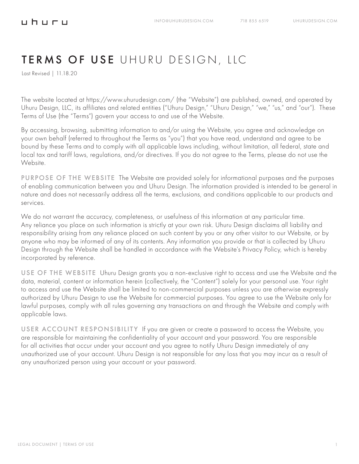Last Revised | 11.18.20

**⊔h⊔r⊔** 

The website located at https://www.uhurudesign.com/ (the "Website") are published, owned, and operated by Uhuru Design, LLC, its affiliates and related entities ("Uhuru Design," "Uhuru Design," "we," "us," and "our"). These Terms of Use (the "Terms") govern your access to and use of the Website.

By accessing, browsing, submitting information to and/or using the Website, you agree and acknowledge on your own behalf (referred to throughout the Terms as "you") that you have read, understand and agree to be bound by these Terms and to comply with all applicable laws including, without limitation, all federal, state and local tax and tariff laws, regulations, and/or directives. If you do not agree to the Terms, please do not use the Website.

PURPOSE OF THE WEBSITEThe Website are provided solely for informational purposes and the purposes of enabling communication between you and Uhuru Design. The information provided is intended to be general in nature and does not necessarily address all the terms, exclusions, and conditions applicable to our products and services.

We do not warrant the accuracy, completeness, or usefulness of this information at any particular time. Any reliance you place on such information is strictly at your own risk. Uhuru Design disclaims all liability and responsibility arising from any reliance placed on such content by you or any other visitor to our Website, or by anyone who may be informed of any of its contents. Any information you provide or that is collected by Uhuru Design through the Website shall be handled in accordance with the Website's Privacy Policy, which is hereby incorporated by reference.

USE OF THE WEBSITEUhuru Design grants you a non-exclusive right to access and use the Website and the data, material, content or information herein (collectively, the "Content") solely for your personal use. Your right to access and use the Website shall be limited to non-commercial purposes unless you are otherwise expressly authorized by Uhuru Design to use the Website for commercial purposes. You agree to use the Website only for lawful purposes, comply with all rules governing any transactions on and through the Website and comply with applicable laws.

USER ACCOUNT RESPONSIBILITY If you are given or create a password to access the Website, you are responsible for maintaining the confidentiality of your account and your password. You are responsible for all activities that occur under your account and you agree to notify Uhuru Design immediately of any unauthorized use of your account. Uhuru Design is not responsible for any loss that you may incur as a result of any unauthorized person using your account or your password.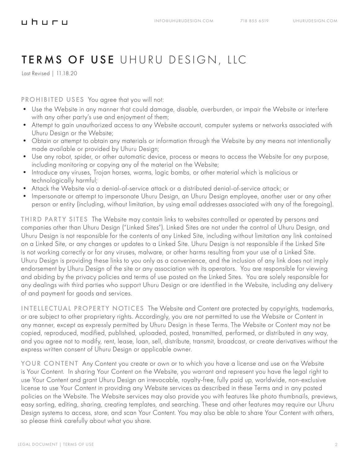Last Revised | 11.18.20

PROHIBITED USESYou agree that you will not:

- Use the Website in any manner that could damage, disable, overburden, or impair the Website or interfere with any other party's use and enjoyment of them;
- Attempt to gain unauthorized access to any Website account, computer systems or networks associated with Uhuru Design or the Website;
- Obtain or attempt to obtain any materials or information through the Website by any means not intentionally made available or provided by Uhuru Design;
- Use any robot, spider, or other automatic device, process or means to access the Website for any purpose, including monitoring or copying any of the material on the Website;
- Introduce any viruses, Trojan horses, worms, logic bombs, or other material which is malicious or technologically harmful;
- Attack the Website via a denial-of-service attack or a distributed denial-of-service attack; or
- Impersonate or attempt to impersonate Uhuru Design, an Uhuru Design employee, another user or any other person or entity (including, without limitation, by using email addresses associated with any of the foregoing).

THIRD PARTY SITES The Website may contain links to websites controlled or operated by persons and companies other than Uhuru Design ("Linked Sites"). Linked Sites are not under the control of Uhuru Design, and Uhuru Design is not responsible for the contents of any Linked Site, including without limitation any link contained on a Linked Site, or any changes or updates to a Linked Site. Uhuru Design is not responsible if the Linked Site is not working correctly or for any viruses, malware, or other harms resulting from your use of a Linked Site. Uhuru Design is providing these links to you only as a convenience, and the inclusion of any link does not imply endorsement by Uhuru Design of the site or any association with its operators. You are responsible for viewing and abiding by the privacy policies and terms of use posted on the Linked Sites. You are solely responsible for any dealings with third parties who support Uhuru Design or are identified in the Website, including any delivery of and payment for goods and services.

INTELLECTUAL PROPERTY NOTICES The Website and Content are protected by copyrights, trademarks, or are subject to other proprietary rights. Accordingly, you are not permitted to use the Website or Content in any manner, except as expressly permitted by Uhuru Design in these Terms. The Website or Content may not be copied, reproduced, modified, published, uploaded, posted, transmitted, performed, or distributed in any way, and you agree not to modify, rent, lease, loan, sell, distribute, transmit, broadcast, or create derivatives without the express written consent of Uhuru Design or applicable owner.

YOUR CONTENT Any Content you create or own or to which you have a license and use on the Website is Your Content. In sharing Your Content on the Website, you warrant and represent you have the legal right to use Your Content and grant Uhuru Design an irrevocable, royalty-free, fully paid up, worldwide, non-exclusive license to use Your Content in providing any Website services as described in these Terms and in any posted policies on the Website. The Website services may also provide you with features like photo thumbnails, previews, easy sorting, editing, sharing, creating templates, and searching. These and other features may require our Uhuru Design systems to access, store, and scan Your Content. You may also be able to share Your Content with others, so please think carefully about what you share.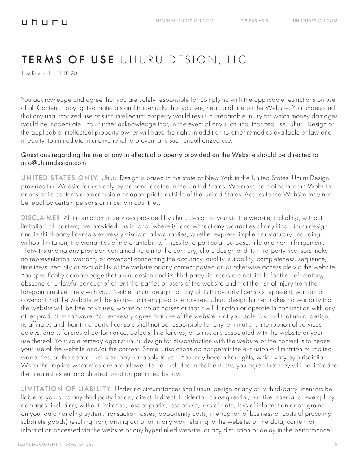Last Revised | 11.18.20

You acknowledge and agree that you are solely responsible for complying with the applicable restrictions on use of all Content, copyrighted materials and trademarks that you see, hear, and use on the Website. You understand that any unauthorized use of such intellectual property would result in irreparable injury for which money damages would be inadequate. You further acknowledge that, in the event of any such unauthorized use, Uhuru Design or the applicable intellectual property owner will have the right, in addition to other remedies available at law and in equity, to immediate injunctive relief to prevent any such unauthorized use.

#### Questions regarding the use of any intellectual property provided on the Website should be directed to info@uhurudesign.com

UNITED STATES ONLY Uhuru Design is based in the state of New York in the United States. Uhuru Design provides this Website for use only by persons located in the United States. We make no claims that the Website or any of its contents are accessible or appropriate outside of the United States. Access to the Website may not be legal by certain persons or in certain countries.

DISCLAIMER All information or services provided by uhuru design to you via the website, including, without limitation, all content, are provided "as is" and "where is" and without any warranties of any kind. Uhuru design and its third-party licensors expressly disclaim all warranties, whether express, implied or statutory, including, without limitation, the warranties of merchantability, fitness for a particular purpose, title and non-infringement. Notwithstanding any provision contained herein to the contrary, uhuru design and its third-party licensors make no representation, warranty or covenant concerning the accuracy, quality, suitability, completeness, sequence, timeliness, security or availability of the website or any content posted on or otherwise accessible via the website. You specifically acknowledge that uhuru design and its third-party licensors are not liable for the defamatory, obscene or unlawful conduct of other third parties or users of the website and that the risk of injury from the foregoing rests entirely with you. Neither uhuru design nor any of its third-party licensors represent, warrant or covenant that the website will be secure, uninterrupted or error-free. Uhuru design further makes no warranty that the website will be free of viruses, worms or trojan horses or that it will function or operate in conjunction with any other product or software. You expressly agree that use of the website is at your sole risk and that uhuru design, its affiliates and their third-party licensors shall not be responsible for any termination, interruption of services, delays, errors, failures of performance, defects, line failures, or omissions associated with the website or your use thereof. Your sole remedy against uhuru design for dissatisfaction with the website or the content is to cease your use of the website and/or the content. Some jurisdictions do not permit the exclusion or limitation of implied warranties, so the above exclusion may not apply to you. You may have other rights, which vary by jurisdiction. When the implied warranties are not allowed to be excluded in their entirety, you agree that they will be limited to the greatest extent and shortest duration permitted by law.

LIMITATION OF LIABILITY Under no circumstances shall uhuru design or any of its third-party licensors be liable to you or to any third party for any direct, indirect, incidental, consequential, punitive, special or exemplary damages (including, without limitation, loss of profits, loss of use, loss of data, loss of information or programs on your data handling system, transaction losses, opportunity costs, interruption of business or costs of procuring substitute goods) resulting from, arising out of or in any way relating to the website, or the data, content or information accessed via the website or any hyperlinked website, or any disruption or delay in the performance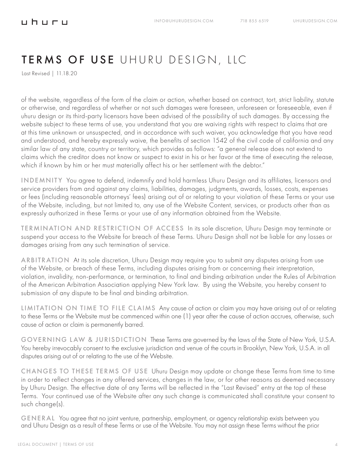Last Revised | 11.18.20

of the website, regardless of the form of the claim or action, whether based on contract, tort, strict liability, statute or otherwise, and regardless of whether or not such damages were foreseen, unforeseen or foreseeable, even if uhuru design or its third-party licensors have been advised of the possibility of such damages. By accessing the website subject to these terms of use, you understand that you are waiving rights with respect to claims that are at this time unknown or unsuspected, and in accordance with such waiver, you acknowledge that you have read and understood, and hereby expressly waive, the benefits of section 1542 of the civil code of california and any similar law of any state, country or territory, which provides as follows: "a general release does not extend to claims which the creditor does not know or suspect to exist in his or her favor at the time of executing the release, which if known by him or her must materially affect his or her settlement with the debtor."

INDEMNITY You agree to defend, indemnify and hold harmless Uhuru Design and its affiliates, licensors and service providers from and against any claims, liabilities, damages, judgments, awards, losses, costs, expenses or fees (including reasonable attorneys' fees) arising out of or relating to your violation of these Terms or your use of the Website, including, but not limited to, any use of the Website Content, services, or products other than as expressly authorized in these Terms or your use of any information obtained from the Website.

TERMINATION AND RESTRICTION OF ACCESS In its sole discretion, Uhuru Design may terminate or suspend your access to the Website for breach of these Terms. Uhuru Design shall not be liable for any losses or damages arising from any such termination of service.

ARBITRATION At its sole discretion, Uhuru Design may require you to submit any disputes arising from use of the Website, or breach of these Terms, including disputes arising from or concerning their interpretation, violation, invalidity, non-performance, or termination, to final and binding arbitration under the Rules of Arbitration of the American Arbitration Association applying New York law. By using the Website, you hereby consent to submission of any dispute to be final and binding arbitration.

LIMITATION ON TIME TO FILE CLAIMS Any cause of action or claim you may have arising out of or relating to these Terms or the Website must be commenced within one (1) year after the cause of action accrues, otherwise, such cause of action or claim is permanently barred.

GOVERNING LAW & JURISDICTION These Terms are governed by the laws of the State of New York, U.S.A. You hereby irrevocably consent to the exclusive jurisdiction and venue of the courts in Brooklyn, New York, U.S.A. in all disputes arising out of or relating to the use of the Website.

CHANGES TO THESE TERMS OF USE Uhuru Design may update or change these Terms from time to time in order to reflect changes in any offered services, changes in the law, or for other reasons as deemed necessary by Uhuru Design. The effective date of any Terms will be reflected in the "Last Revised" entry at the top of these Terms. Your continued use of the Website after any such change is communicated shall constitute your consent to such change(s).

GENERAL You agree that no joint venture, partnership, employment, or agency relationship exists between you and Uhuru Design as a result of these Terms or use of the Website. You may not assign these Terms without the prior